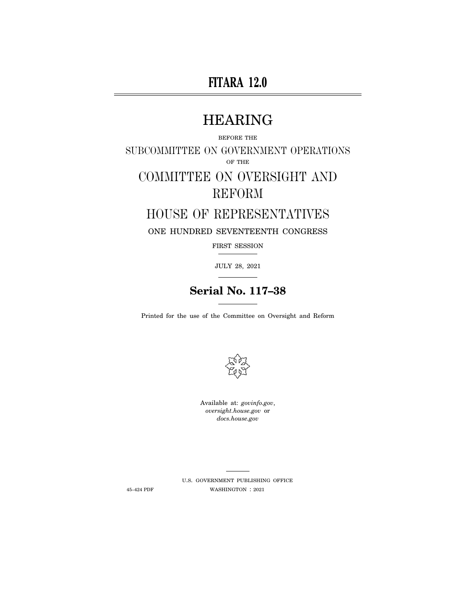# **FITARA 12.0**

# HEARING

BEFORE THE SUBCOMMITTEE ON GOVERNMENT OPERATIONS OF THE COMMITTEE ON OVERSIGHT AND REFORM

# HOUSE OF REPRESENTATIVES ONE HUNDRED SEVENTEENTH CONGRESS

FIRST SESSION

JULY 28, 2021

# **Serial No. 117–38**

Printed for the use of the Committee on Oversight and Reform



Available at: *govinfo.gov*, *oversight.house.gov* or *docs.house.gov* 

U.S. GOVERNMENT PUBLISHING OFFICE 45–424 PDF WASHINGTON : 2021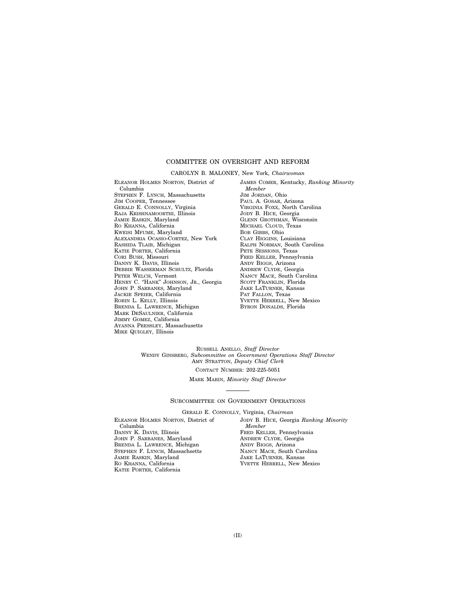# COMMITTEE ON OVERSIGHT AND REFORM

#### CAROLYN B. MALONEY, New York, *Chairwoman*

ELEANOR HOLMES NORTON, District of Columbia STEPHEN F. LYNCH, Massachusetts JIM COOPER, Tennessee GERALD E. CONNOLLY, Virginia RAJA KRISHNAMOORTHI, Illinois JAMIE RASKIN, Maryland RO KHANNA, California KWEISI MFUME, Maryland ALEXANDRIA OCASIO-CORTEZ, New York RASHIDA TLAIB, Michigan KATIE PORTER, California CORI BUSH, Missouri DANNY K. DAVIS, Illinois DEBBIE WASSERMAN SCHULTZ, Florida PETER WELCH, Vermont HENRY C. "HANK" JOHNSON, JR., Georgia JOHN P. SARBANES, Maryland JACKIE SPEIER, California ROBIN L. KELLY, Illinois BRENDA L. LAWRENCE, Michigan MARK DESAULNIER, California JIMMY GOMEZ, California AYANNA PRESSLEY, Massachusetts MIKE QUIGLEY, Illinois

JAMES COMER, Kentucky, *Ranking Minority Member*  JIM JORDAN, Ohio PAUL A. GOSAR, Arizona VIRGINIA FOXX, North Carolina JODY B. HICE, Georgia GLENN GROTHMAN, Wisconsin MICHAEL CLOUD, Texas BOB GIBBS, Ohio CLAY HIGGINS, Louisiana RALPH NORMAN, South Carolina PETE SESSIONS, Texas FRED KELLER, Pennsylvania ANDY BIGGS, Arizona ANDREW CLYDE, Georgia NANCY MACE, South Carolina SCOTT FRANKLIN, Florida JAKE LATURNER, Kansas PAT FALLON, Texas YVETTE HERRELL, New Mexico BYRON DONALDS, Florida

RUSSELL ANELLO, *Staff Director*  WENDY GINSBERG, *Subcommittee on Government Operations Staff Director*  AMY STRATTON, *Deputy Chief Clerk*  CONTACT NUMBER: 202-225-5051

MARK MARIN, *Minority Staff Director* 

#### SUBCOMMITTEE ON GOVERNMENT OPERATIONS

GERALD E. CONNOLLY, Virginia, *Chairman* 

ELEANOR HOLMES NORTON, District of Columbia DANNY K. DAVIS, Illinois JOHN P. SARBANES, Maryland BRENDA L. LAWRENCE, Michigan STEPHEN F. LYNCH, Massachsetts JAMIE RASKIN, Maryland RO KHANNA, California KATIE PORTER, California

JODY B. HICE, Georgia *Ranking Minority Member*  FRED KELLER, Pennsylvania ANDREW CLYDE, Georgia ANDY BIGGS, Arizona NANCY MACE, South Carolina JAKE LATURNER, Kansas YVETTE HERRELL, New Mexico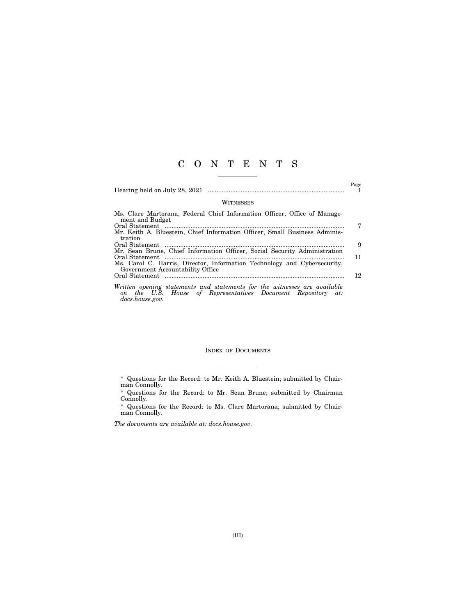# C O N T E N T S

Hearing held on July 28, 2021 ............................................................................... 1

 $\overset{\text{Page}}{1}$ 

#### WITNESSES

| Ms. Clare Martorana, Federal Chief Information Officer, Office of Manage-                                                                          |   |
|----------------------------------------------------------------------------------------------------------------------------------------------------|---|
| ment and Budget                                                                                                                                    |   |
|                                                                                                                                                    |   |
| Mr. Keith A. Bluestein, Chief Information Officer, Small Business Adminis-                                                                         |   |
| tration                                                                                                                                            |   |
|                                                                                                                                                    | 9 |
| Mr. Sean Brune, Chief Information Officer, Social Security Administration                                                                          |   |
| 11                                                                                                                                                 |   |
| Ms. Carol C. Harris, Director, Information Technology and Cybersecurity,                                                                           |   |
| Government Accountability Office                                                                                                                   |   |
| 12.                                                                                                                                                |   |
|                                                                                                                                                    |   |
| Written opening statements and statements for the witnesses are available<br>$\mathbf{v}$ , and $\mathbf{v}$ , and $\mathbf{v}$ , and $\mathbf{v}$ |   |

*on the U.S. House of Representatives Document Repository at: docs.house.gov.* 

### INDEX OF DOCUMENTS

<sup>\*</sup> Questions for the Record: to Mr. Keith A. Bluestein; submitted by Chairman Connolly.

<sup>\*</sup> Questions for the Record: to Mr. Sean Brune; submitted by Chairman Connolly.

<sup>\*</sup> Questions for the Record: to Ms. Clare Martorana; submitted by Chairman Connolly.

*The documents are available at: docs.house.gov.*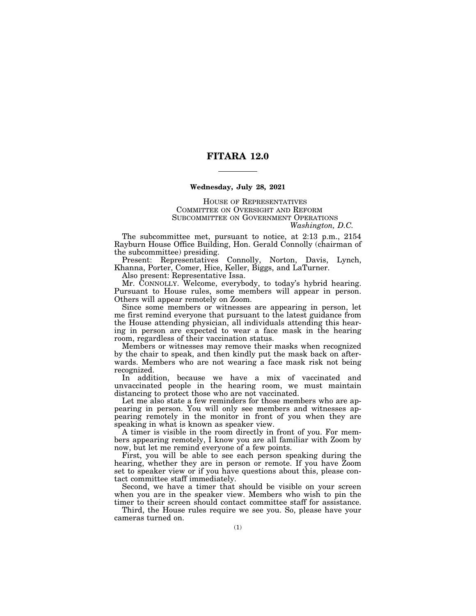# **FITARA 12.0**

### **Wednesday, July 28, 2021**

HOUSE OF REPRESENTATIVES COMMITTEE ON OVERSIGHT AND REFORM SUBCOMMITTEE ON GOVERNMENT OPERATIONS *Washington, D.C.* 

The subcommittee met, pursuant to notice, at 2:13 p.m., 2154 Rayburn House Office Building, Hon. Gerald Connolly (chairman of the subcommittee) presiding.

Present: Representatives Connolly, Norton, Davis, Lynch, Khanna, Porter, Comer, Hice, Keller, Biggs, and LaTurner.

Also present: Representative Issa.

Mr. CONNOLLY. Welcome, everybody, to today's hybrid hearing. Pursuant to House rules, some members will appear in person. Others will appear remotely on Zoom.

Since some members or witnesses are appearing in person, let me first remind everyone that pursuant to the latest guidance from the House attending physician, all individuals attending this hearing in person are expected to wear a face mask in the hearing room, regardless of their vaccination status.

Members or witnesses may remove their masks when recognized by the chair to speak, and then kindly put the mask back on afterwards. Members who are not wearing a face mask risk not being recognized.

In addition, because we have a mix of vaccinated and unvaccinated people in the hearing room, we must maintain distancing to protect those who are not vaccinated.

Let me also state a few reminders for those members who are appearing in person. You will only see members and witnesses appearing remotely in the monitor in front of you when they are speaking in what is known as speaker view.

A timer is visible in the room directly in front of you. For members appearing remotely, I know you are all familiar with Zoom by now, but let me remind everyone of a few points.

First, you will be able to see each person speaking during the hearing, whether they are in person or remote. If you have Zoom set to speaker view or if you have questions about this, please contact committee staff immediately.

Second, we have a timer that should be visible on your screen when you are in the speaker view. Members who wish to pin the timer to their screen should contact committee staff for assistance.

Third, the House rules require we see you. So, please have your cameras turned on.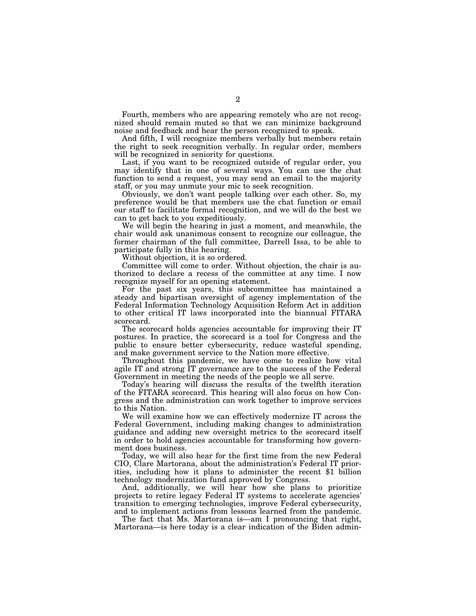Fourth, members who are appearing remotely who are not recognized should remain muted so that we can minimize background noise and feedback and hear the person recognized to speak.

And fifth, I will recognize members verbally but members retain the right to seek recognition verbally. In regular order, members will be recognized in seniority for questions.

Last, if you want to be recognized outside of regular order, you may identify that in one of several ways. You can use the chat function to send a request, you may send an email to the majority staff, or you may unmute your mic to seek recognition.

Obviously, we don't want people talking over each other. So, my preference would be that members use the chat function or email our staff to facilitate formal recognition, and we will do the best we can to get back to you expeditiously.

We will begin the hearing in just a moment, and meanwhile, the chair would ask unanimous consent to recognize our colleague, the former chairman of the full committee, Darrell Issa, to be able to participate fully in this hearing.

Without objection, it is so ordered.

Committee will come to order. Without objection, the chair is authorized to declare a recess of the committee at any time. I now recognize myself for an opening statement.

For the past six years, this subcommittee has maintained a steady and bipartisan oversight of agency implementation of the Federal Information Technology Acquisition Reform Act in addition to other critical IT laws incorporated into the biannual FITARA scorecard.

The scorecard holds agencies accountable for improving their IT postures. In practice, the scorecard is a tool for Congress and the public to ensure better cybersecurity, reduce wasteful spending, and make government service to the Nation more effective.

Throughout this pandemic, we have come to realize how vital agile IT and strong IT governance are to the success of the Federal Government in meeting the needs of the people we all serve.

Today's hearing will discuss the results of the twelfth iteration of the FITARA scorecard. This hearing will also focus on how Congress and the administration can work together to improve services to this Nation.

We will examine how we can effectively modernize IT across the Federal Government, including making changes to administration guidance and adding new oversight metrics to the scorecard itself in order to hold agencies accountable for transforming how government does business.

Today, we will also hear for the first time from the new Federal CIO, Clare Martorana, about the administration's Federal IT priorities, including how it plans to administer the recent \$1 billion technology modernization fund approved by Congress.

And, additionally, we will hear how she plans to prioritize projects to retire legacy Federal IT systems to accelerate agencies' transition to emerging technologies, improve Federal cybersecurity, and to implement actions from lessons learned from the pandemic.

The fact that Ms. Martorana is—am I pronouncing that right, Martorana—is here today is a clear indication of the Biden admin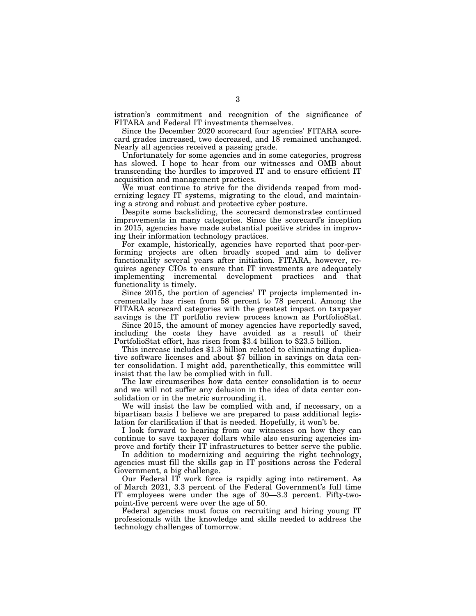istration's commitment and recognition of the significance of FITARA and Federal IT investments themselves.

Since the December 2020 scorecard four agencies' FITARA scorecard grades increased, two decreased, and 18 remained unchanged. Nearly all agencies received a passing grade.

Unfortunately for some agencies and in some categories, progress has slowed. I hope to hear from our witnesses and OMB about transcending the hurdles to improved IT and to ensure efficient IT acquisition and management practices.

We must continue to strive for the dividends reaped from modernizing legacy IT systems, migrating to the cloud, and maintaining a strong and robust and protective cyber posture.

Despite some backsliding, the scorecard demonstrates continued improvements in many categories. Since the scorecard's inception in 2015, agencies have made substantial positive strides in improving their information technology practices.

For example, historically, agencies have reported that poor-performing projects are often broadly scoped and aim to deliver functionality several years after initiation. FITARA, however, requires agency CIOs to ensure that IT investments are adequately implementing incremental development practices and that functionality is timely.

Since 2015, the portion of agencies' IT projects implemented incrementally has risen from 58 percent to 78 percent. Among the FITARA scorecard categories with the greatest impact on taxpayer savings is the IT portfolio review process known as PortfolioStat.

Since 2015, the amount of money agencies have reportedly saved, including the costs they have avoided as a result of their PortfolioStat effort, has risen from \$3.4 billion to \$23.5 billion.

This increase includes \$1.3 billion related to eliminating duplicative software licenses and about \$7 billion in savings on data center consolidation. I might add, parenthetically, this committee will insist that the law be complied with in full.

The law circumscribes how data center consolidation is to occur and we will not suffer any delusion in the idea of data center consolidation or in the metric surrounding it.

We will insist the law be complied with and, if necessary, on a bipartisan basis I believe we are prepared to pass additional legislation for clarification if that is needed. Hopefully, it won't be.

I look forward to hearing from our witnesses on how they can continue to save taxpayer dollars while also ensuring agencies improve and fortify their IT infrastructures to better serve the public.

In addition to modernizing and acquiring the right technology, agencies must fill the skills gap in IT positions across the Federal Government, a big challenge.

Our Federal IT work force is rapidly aging into retirement. As of March 2021, 3.3 percent of the Federal Government's full time IT employees were under the age of 30—3.3 percent. Fifty-twopoint-five percent were over the age of 50.

Federal agencies must focus on recruiting and hiring young IT professionals with the knowledge and skills needed to address the technology challenges of tomorrow.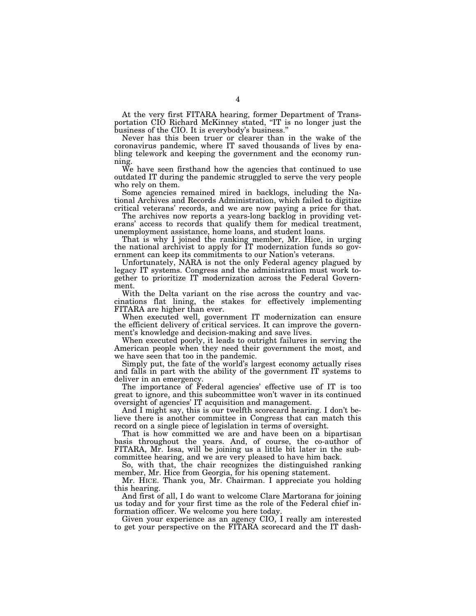At the very first FITARA hearing, former Department of Transportation CIO Richard McKinney stated, ''IT is no longer just the business of the CIO. It is everybody's business.''

Never has this been truer or clearer than in the wake of the coronavirus pandemic, where IT saved thousands of lives by enabling telework and keeping the government and the economy running.

We have seen firsthand how the agencies that continued to use outdated IT during the pandemic struggled to serve the very people who rely on them.

Some agencies remained mired in backlogs, including the National Archives and Records Administration, which failed to digitize critical veterans' records, and we are now paying a price for that.

The archives now reports a years-long backlog in providing veterans' access to records that qualify them for medical treatment, unemployment assistance, home loans, and student loans.

That is why I joined the ranking member, Mr. Hice, in urging the national archivist to apply for IT modernization funds so government can keep its commitments to our Nation's veterans.

Unfortunately, NARA is not the only Federal agency plagued by legacy IT systems. Congress and the administration must work together to prioritize IT modernization across the Federal Government.

With the Delta variant on the rise across the country and vaccinations flat lining, the stakes for effectively implementing FITARA are higher than ever.

When executed well, government IT modernization can ensure the efficient delivery of critical services. It can improve the government's knowledge and decision-making and save lives.

When executed poorly, it leads to outright failures in serving the American people when they need their government the most, and we have seen that too in the pandemic.

Simply put, the fate of the world's largest economy actually rises and falls in part with the ability of the government IT systems to deliver in an emergency.

The importance of Federal agencies' effective use of IT is too great to ignore, and this subcommittee won't waver in its continued oversight of agencies' IT acquisition and management.

And I might say, this is our twelfth scorecard hearing. I don't believe there is another committee in Congress that can match this record on a single piece of legislation in terms of oversight.

That is how committed we are and have been on a bipartisan basis throughout the years. And, of course, the co-author of FITARA, Mr. Issa, will be joining us a little bit later in the subcommittee hearing, and we are very pleased to have him back.

So, with that, the chair recognizes the distinguished ranking member, Mr. Hice from Georgia, for his opening statement.

Mr. HICE. Thank you, Mr. Chairman. I appreciate you holding this hearing.

And first of all, I do want to welcome Clare Martorana for joining us today and for your first time as the role of the Federal chief information officer. We welcome you here today.

Given your experience as an agency CIO, I really am interested to get your perspective on the FITARA scorecard and the IT dash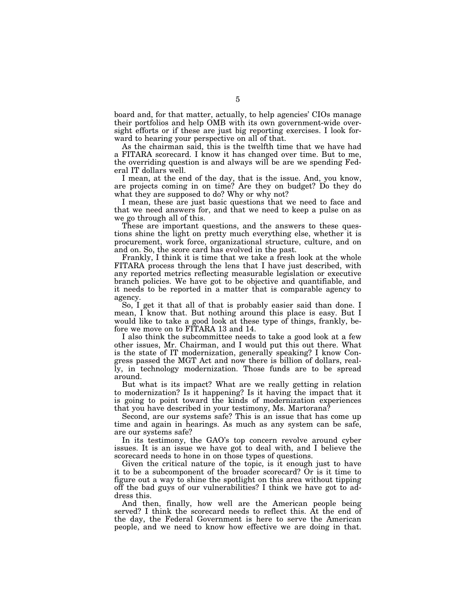board and, for that matter, actually, to help agencies' CIOs manage their portfolios and help OMB with its own government-wide oversight efforts or if these are just big reporting exercises. I look forward to hearing your perspective on all of that.

As the chairman said, this is the twelfth time that we have had a FITARA scorecard. I know it has changed over time. But to me, the overriding question is and always will be are we spending Federal IT dollars well.

I mean, at the end of the day, that is the issue. And, you know, are projects coming in on time? Are they on budget? Do they do what they are supposed to do? Why or why not?

I mean, these are just basic questions that we need to face and that we need answers for, and that we need to keep a pulse on as we go through all of this.

These are important questions, and the answers to these questions shine the light on pretty much everything else, whether it is procurement, work force, organizational structure, culture, and on and on. So, the score card has evolved in the past.

Frankly, I think it is time that we take a fresh look at the whole FITARA process through the lens that I have just described, with any reported metrics reflecting measurable legislation or executive branch policies. We have got to be objective and quantifiable, and it needs to be reported in a matter that is comparable agency to agency.

So, I get it that all of that is probably easier said than done. I mean, I know that. But nothing around this place is easy. But I would like to take a good look at these type of things, frankly, before we move on to FITARA 13 and 14.

I also think the subcommittee needs to take a good look at a few other issues, Mr. Chairman, and I would put this out there. What is the state of IT modernization, generally speaking? I know Congress passed the MGT Act and now there is billion of dollars, really, in technology modernization. Those funds are to be spread around.

But what is its impact? What are we really getting in relation to modernization? Is it happening? Is it having the impact that it is going to point toward the kinds of modernization experiences that you have described in your testimony, Ms. Martorana?

Second, are our systems safe? This is an issue that has come up time and again in hearings. As much as any system can be safe, are our systems safe?

In its testimony, the GAO's top concern revolve around cyber issues. It is an issue we have got to deal with, and I believe the scorecard needs to hone in on those types of questions.

Given the critical nature of the topic, is it enough just to have it to be a subcomponent of the broader scorecard? Or is it time to figure out a way to shine the spotlight on this area without tipping off the bad guys of our vulnerabilities? I think we have got to address this.

And then, finally, how well are the American people being served? I think the scorecard needs to reflect this. At the end of the day, the Federal Government is here to serve the American people, and we need to know how effective we are doing in that.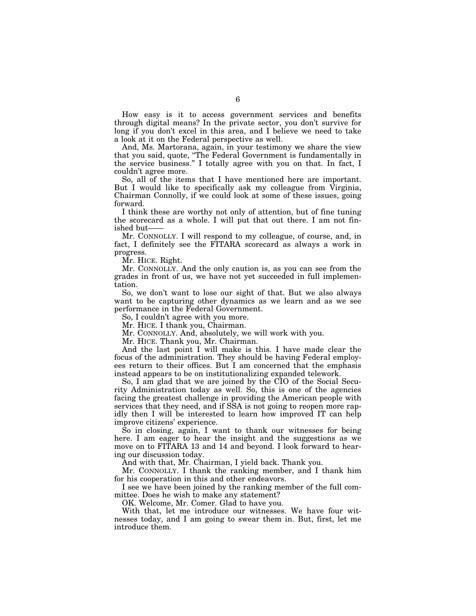How easy is it to access government services and benefits through digital means? In the private sector, you don't survive for long if you don't excel in this area, and I believe we need to take a look at it on the Federal perspective as well.

And, Ms. Martorana, again, in your testimony we share the view that you said, quote, ''The Federal Government is fundamentally in the service business.'' I totally agree with you on that. In fact, I couldn't agree more.

So, all of the items that I have mentioned here are important. But I would like to specifically ask my colleague from Virginia, Chairman Connolly, if we could look at some of these issues, going forward.

I think these are worthy not only of attention, but of fine tuning the scorecard as a whole. I will put that out there. I am not finished but-

Mr. CONNOLLY. I will respond to my colleague, of course, and, in fact, I definitely see the FITARA scorecard as always a work in progress.

Mr. HICE. Right.

Mr. CONNOLLY. And the only caution is, as you can see from the grades in front of us, we have not yet succeeded in full implementation.

So, we don't want to lose our sight of that. But we also always want to be capturing other dynamics as we learn and as we see performance in the Federal Government.

So, I couldn't agree with you more.

Mr. HICE. I thank you, Chairman.

Mr. CONNOLLY. And, absolutely, we will work with you.

Mr. HICE. Thank you, Mr. Chairman.

And the last point I will make is this. I have made clear the focus of the administration. They should be having Federal employees return to their offices. But I am concerned that the emphasis instead appears to be on institutionalizing expanded telework.

So, I am glad that we are joined by the CIO of the Social Security Administration today as well. So, this is one of the agencies facing the greatest challenge in providing the American people with services that they need, and if SSA is not going to reopen more rapidly then I will be interested to learn how improved IT can help improve citizens' experience.

So in closing, again, I want to thank our witnesses for being here. I am eager to hear the insight and the suggestions as we move on to FITARA 13 and 14 and beyond. I look forward to hearing our discussion today.

And with that, Mr. Chairman, I yield back. Thank you.

Mr. CONNOLLY. I thank the ranking member, and I thank him for his cooperation in this and other endeavors.

I see we have been joined by the ranking member of the full committee. Does he wish to make any statement?

OK. Welcome, Mr. Comer. Glad to have you.

With that, let me introduce our witnesses. We have four witnesses today, and I am going to swear them in. But, first, let me introduce them.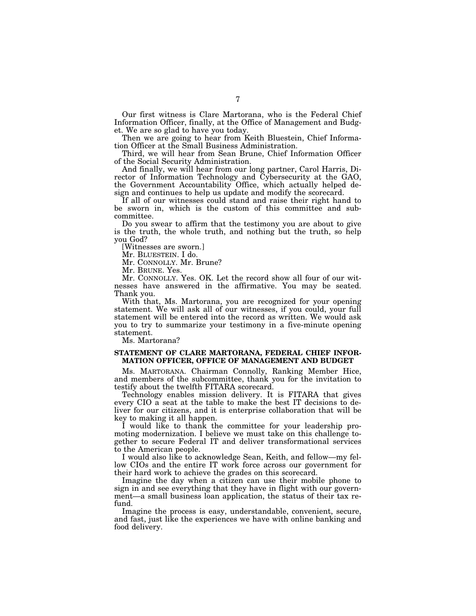Our first witness is Clare Martorana, who is the Federal Chief Information Officer, finally, at the Office of Management and Budget. We are so glad to have you today.

Then we are going to hear from Keith Bluestein, Chief Information Officer at the Small Business Administration.

Third, we will hear from Sean Brune, Chief Information Officer of the Social Security Administration.

And finally, we will hear from our long partner, Carol Harris, Director of Information Technology and Cybersecurity at the GAO, the Government Accountability Office, which actually helped design and continues to help us update and modify the scorecard.

If all of our witnesses could stand and raise their right hand to be sworn in, which is the custom of this committee and subcommittee.

Do you swear to affirm that the testimony you are about to give is the truth, the whole truth, and nothing but the truth, so help you God?

[Witnesses are sworn.]

Mr. BLUESTEIN. I do.

Mr. CONNOLLY. Mr. Brune?

Mr. BRUNE. Yes.

Mr. CONNOLLY. Yes. OK. Let the record show all four of our witnesses have answered in the affirmative. You may be seated. Thank you.

With that, Ms. Martorana, you are recognized for your opening statement. We will ask all of our witnesses, if you could, your full statement will be entered into the record as written. We would ask you to try to summarize your testimony in a five-minute opening statement.

Ms. Martorana?

## **STATEMENT OF CLARE MARTORANA, FEDERAL CHIEF INFOR-MATION OFFICER, OFFICE OF MANAGEMENT AND BUDGET**

Ms. MARTORANA. Chairman Connolly, Ranking Member Hice, and members of the subcommittee, thank you for the invitation to testify about the twelfth FITARA scorecard.

Technology enables mission delivery. It is FITARA that gives every CIO a seat at the table to make the best IT decisions to deliver for our citizens, and it is enterprise collaboration that will be key to making it all happen.

I would like to thank the committee for your leadership promoting modernization. I believe we must take on this challenge together to secure Federal IT and deliver transformational services to the American people.

I would also like to acknowledge Sean, Keith, and fellow—my fellow CIOs and the entire IT work force across our government for their hard work to achieve the grades on this scorecard.

Imagine the day when a citizen can use their mobile phone to sign in and see everything that they have in flight with our government—a small business loan application, the status of their tax refund.

Imagine the process is easy, understandable, convenient, secure, and fast, just like the experiences we have with online banking and food delivery.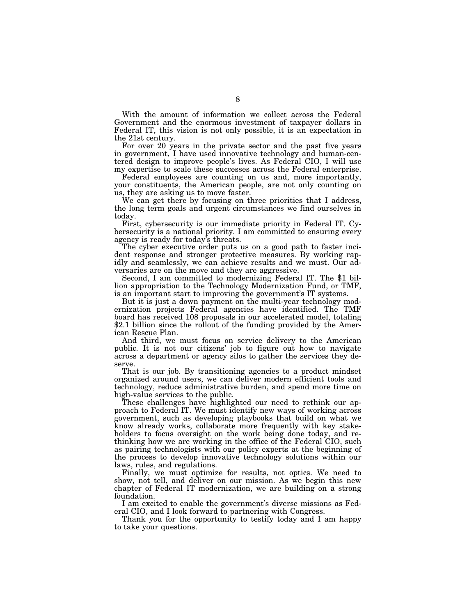With the amount of information we collect across the Federal Government and the enormous investment of taxpayer dollars in Federal IT, this vision is not only possible, it is an expectation in the 21st century.

For over 20 years in the private sector and the past five years in government, I have used innovative technology and human-centered design to improve people's lives. As Federal CIO, I will use my expertise to scale these successes across the Federal enterprise.

Federal employees are counting on us and, more importantly, your constituents, the American people, are not only counting on us, they are asking us to move faster.

We can get there by focusing on three priorities that I address, the long term goals and urgent circumstances we find ourselves in today.

First, cybersecurity is our immediate priority in Federal IT. Cybersecurity is a national priority. I am committed to ensuring every agency is ready for today's threats.

The cyber executive order puts us on a good path to faster incident response and stronger protective measures. By working rapidly and seamlessly, we can achieve results and we must. Our ad-

versaries are on the move and they are aggressive. Second, I am committed to modernizing Federal IT. The \$1 billion appropriation to the Technology Modernization Fund, or TMF, is an important start to improving the government's IT systems.

But it is just a down payment on the multi-year technology modernization projects Federal agencies have identified. The TMF board has received 108 proposals in our accelerated model, totaling \$2.1 billion since the rollout of the funding provided by the American Rescue Plan.

And third, we must focus on service delivery to the American public. It is not our citizens' job to figure out how to navigate across a department or agency silos to gather the services they deserve.

That is our job. By transitioning agencies to a product mindset organized around users, we can deliver modern efficient tools and technology, reduce administrative burden, and spend more time on high-value services to the public.

These challenges have highlighted our need to rethink our approach to Federal IT. We must identify new ways of working across government, such as developing playbooks that build on what we know already works, collaborate more frequently with key stakeholders to focus oversight on the work being done today, and rethinking how we are working in the office of the Federal CIO, such as pairing technologists with our policy experts at the beginning of the process to develop innovative technology solutions within our laws, rules, and regulations.

Finally, we must optimize for results, not optics. We need to show, not tell, and deliver on our mission. As we begin this new chapter of Federal IT modernization, we are building on a strong foundation.

I am excited to enable the government's diverse missions as Federal CIO, and I look forward to partnering with Congress.

Thank you for the opportunity to testify today and I am happy to take your questions.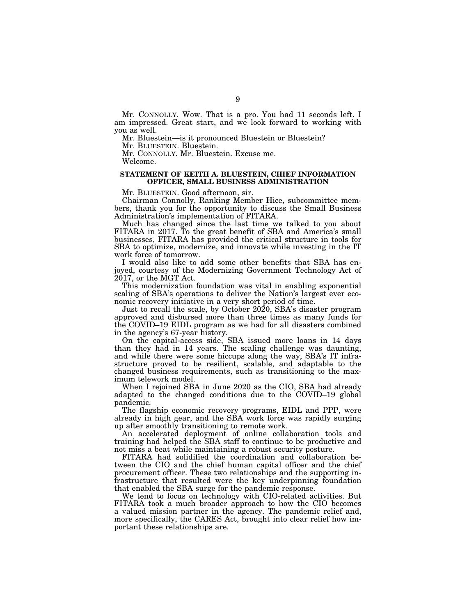Mr. CONNOLLY. Wow. That is a pro. You had 11 seconds left. I am impressed. Great start, and we look forward to working with you as well.

Mr. Bluestein—is it pronounced Bluestein or Bluestein?

Mr. BLUESTEIN. Bluestein.

Mr. CONNOLLY. Mr. Bluestein. Excuse me.

Welcome.

#### **STATEMENT OF KEITH A. BLUESTEIN, CHIEF INFORMATION OFFICER, SMALL BUSINESS ADMINISTRATION**

Mr. BLUESTEIN. Good afternoon, sir.

Chairman Connolly, Ranking Member Hice, subcommittee members, thank you for the opportunity to discuss the Small Business Administration's implementation of FITARA.

Much has changed since the last time we talked to you about FITARA in 2017. To the great benefit of SBA and America's small businesses, FITARA has provided the critical structure in tools for SBA to optimize, modernize, and innovate while investing in the IT work force of tomorrow.

I would also like to add some other benefits that SBA has enjoyed, courtesy of the Modernizing Government Technology Act of 2017, or the MGT Act.

This modernization foundation was vital in enabling exponential scaling of SBA's operations to deliver the Nation's largest ever economic recovery initiative in a very short period of time.

Just to recall the scale, by October 2020, SBA's disaster program approved and disbursed more than three times as many funds for the COVID–19 EIDL program as we had for all disasters combined in the agency's 67-year history.

On the capital-access side, SBA issued more loans in 14 days than they had in 14 years. The scaling challenge was daunting, and while there were some hiccups along the way, SBA's IT infrastructure proved to be resilient, scalable, and adaptable to the changed business requirements, such as transitioning to the maximum telework model.

When I rejoined SBA in June 2020 as the CIO, SBA had already adapted to the changed conditions due to the COVID–19 global pandemic.

The flagship economic recovery programs, EIDL and PPP, were already in high gear, and the SBA work force was rapidly surging up after smoothly transitioning to remote work.

An accelerated deployment of online collaboration tools and training had helped the SBA staff to continue to be productive and not miss a beat while maintaining a robust security posture.

FITARA had solidified the coordination and collaboration between the CIO and the chief human capital officer and the chief procurement officer. These two relationships and the supporting infrastructure that resulted were the key underpinning foundation that enabled the SBA surge for the pandemic response.

We tend to focus on technology with CIO-related activities. But FITARA took a much broader approach to how the CIO becomes a valued mission partner in the agency. The pandemic relief and, more specifically, the CARES Act, brought into clear relief how important these relationships are.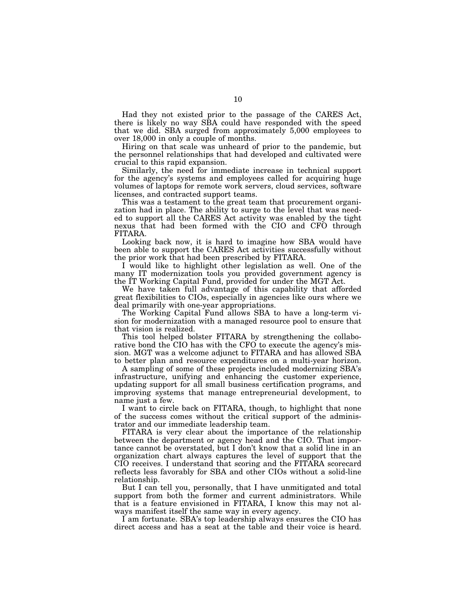Had they not existed prior to the passage of the CARES Act, there is likely no way SBA could have responded with the speed that we did. SBA surged from approximately 5,000 employees to over 18,000 in only a couple of months.

Hiring on that scale was unheard of prior to the pandemic, but the personnel relationships that had developed and cultivated were crucial to this rapid expansion.

Similarly, the need for immediate increase in technical support for the agency's systems and employees called for acquiring huge volumes of laptops for remote work servers, cloud services, software licenses, and contracted support teams.

This was a testament to the great team that procurement organization had in place. The ability to surge to the level that was needed to support all the CARES Act activity was enabled by the tight nexus that had been formed with the CIO and CFO through FITARA.

Looking back now, it is hard to imagine how SBA would have been able to support the CARES Act activities successfully without the prior work that had been prescribed by FITARA.

I would like to highlight other legislation as well. One of the many IT modernization tools you provided government agency is the IT Working Capital Fund, provided for under the MGT Act.

We have taken full advantage of this capability that afforded great flexibilities to CIOs, especially in agencies like ours where we deal primarily with one-year appropriations.

The Working Capital Fund allows SBA to have a long-term vision for modernization with a managed resource pool to ensure that that vision is realized.

This tool helped bolster FITARA by strengthening the collaborative bond the CIO has with the CFO to execute the agency's mission. MGT was a welcome adjunct to FITARA and has allowed SBA to better plan and resource expenditures on a multi-year horizon.

A sampling of some of these projects included modernizing SBA's infrastructure, unifying and enhancing the customer experience, updating support for all small business certification programs, and improving systems that manage entrepreneurial development, to name just a few.

I want to circle back on FITARA, though, to highlight that none of the success comes without the critical support of the administrator and our immediate leadership team.

FITARA is very clear about the importance of the relationship between the department or agency head and the CIO. That importance cannot be overstated, but I don't know that a solid line in an organization chart always captures the level of support that the CIO receives. I understand that scoring and the FITARA scorecard reflects less favorably for SBA and other CIOs without a solid-line relationship.

But I can tell you, personally, that I have unmitigated and total support from both the former and current administrators. While that is a feature envisioned in FITARA, I know this may not always manifest itself the same way in every agency.

I am fortunate. SBA's top leadership always ensures the CIO has direct access and has a seat at the table and their voice is heard.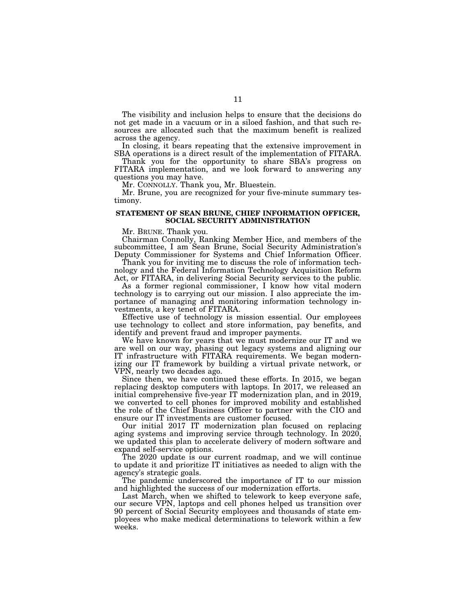The visibility and inclusion helps to ensure that the decisions do not get made in a vacuum or in a siloed fashion, and that such resources are allocated such that the maximum benefit is realized across the agency.

In closing, it bears repeating that the extensive improvement in SBA operations is a direct result of the implementation of FITARA.

Thank you for the opportunity to share SBA's progress on FITARA implementation, and we look forward to answering any questions you may have.

Mr. CONNOLLY. Thank you, Mr. Bluestein.

Mr. Brune, you are recognized for your five-minute summary testimony.

### **STATEMENT OF SEAN BRUNE, CHIEF INFORMATION OFFICER, SOCIAL SECURITY ADMINISTRATION**

Mr. BRUNE. Thank you.

Chairman Connolly, Ranking Member Hice, and members of the subcommittee, I am Sean Brune, Social Security Administration's Deputy Commissioner for Systems and Chief Information Officer.

Thank you for inviting me to discuss the role of information technology and the Federal Information Technology Acquisition Reform Act, or FITARA, in delivering Social Security services to the public.

As a former regional commissioner, I know how vital modern technology is to carrying out our mission. I also appreciate the importance of managing and monitoring information technology investments, a key tenet of FITARA.

Effective use of technology is mission essential. Our employees use technology to collect and store information, pay benefits, and identify and prevent fraud and improper payments.

We have known for years that we must modernize our IT and we are well on our way, phasing out legacy systems and aligning our IT infrastructure with FITARA requirements. We began modernizing our IT framework by building a virtual private network, or VPN, nearly two decades ago.

Since then, we have continued these efforts. In 2015, we began replacing desktop computers with laptops. In 2017, we released an initial comprehensive five-year IT modernization plan, and in 2019, we converted to cell phones for improved mobility and established the role of the Chief Business Officer to partner with the CIO and ensure our IT investments are customer focused.

Our initial 2017 IT modernization plan focused on replacing aging systems and improving service through technology. In 2020, we updated this plan to accelerate delivery of modern software and expand self-service options.

The 2020 update is our current roadmap, and we will continue to update it and prioritize IT initiatives as needed to align with the agency's strategic goals.

The pandemic underscored the importance of IT to our mission and highlighted the success of our modernization efforts.

Last March, when we shifted to telework to keep everyone safe, our secure VPN, laptops and cell phones helped us transition over 90 percent of Social Security employees and thousands of state employees who make medical determinations to telework within a few weeks.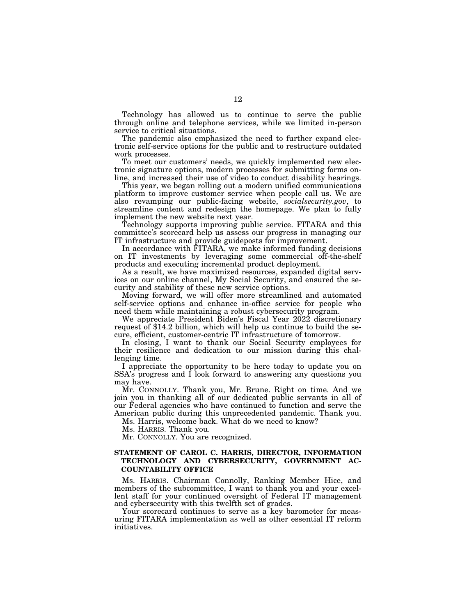Technology has allowed us to continue to serve the public through online and telephone services, while we limited in-person service to critical situations.

The pandemic also emphasized the need to further expand electronic self-service options for the public and to restructure outdated work processes.

To meet our customers' needs, we quickly implemented new electronic signature options, modern processes for submitting forms online, and increased their use of video to conduct disability hearings.

This year, we began rolling out a modern unified communications platform to improve customer service when people call us. We are also revamping our public-facing website, *socialsecurity.gov*, to streamline content and redesign the homepage. We plan to fully implement the new website next year.

Technology supports improving public service. FITARA and this committee's scorecard help us assess our progress in managing our IT infrastructure and provide guideposts for improvement.

In accordance with FITARA, we make informed funding decisions on IT investments by leveraging some commercial off-the-shelf products and executing incremental product deployment.

As a result, we have maximized resources, expanded digital services on our online channel, My Social Security, and ensured the security and stability of these new service options.

Moving forward, we will offer more streamlined and automated self-service options and enhance in-office service for people who need them while maintaining a robust cybersecurity program.

We appreciate President Biden's Fiscal Year 2022 discretionary request of \$14.2 billion, which will help us continue to build the secure, efficient, customer-centric IT infrastructure of tomorrow.

In closing, I want to thank our Social Security employees for their resilience and dedication to our mission during this challenging time.

I appreciate the opportunity to be here today to update you on SSA's progress and I look forward to answering any questions you may have.

Mr. CONNOLLY. Thank you, Mr. Brune. Right on time. And we join you in thanking all of our dedicated public servants in all of our Federal agencies who have continued to function and serve the American public during this unprecedented pandemic. Thank you.

Ms. Harris, welcome back. What do we need to know?

Ms. HARRIS. Thank you.

Mr. CONNOLLY. You are recognized.

# **STATEMENT OF CAROL C. HARRIS, DIRECTOR, INFORMATION TECHNOLOGY AND CYBERSECURITY, GOVERNMENT AC-COUNTABILITY OFFICE**

Ms. HARRIS. Chairman Connolly, Ranking Member Hice, and members of the subcommittee, I want to thank you and your excellent staff for your continued oversight of Federal IT management and cybersecurity with this twelfth set of grades.

Your scorecard continues to serve as a key barometer for measuring FITARA implementation as well as other essential IT reform initiatives.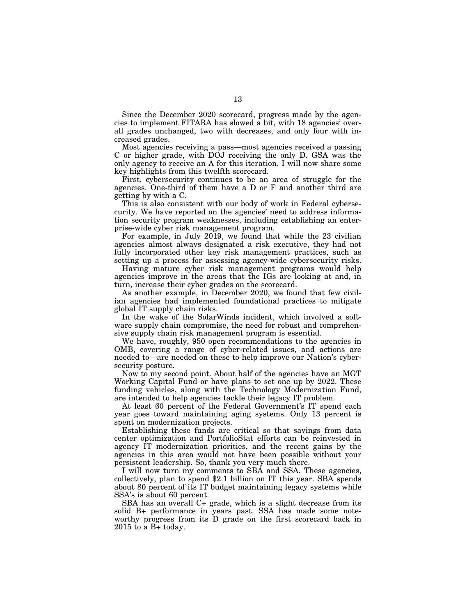Since the December 2020 scorecard, progress made by the agencies to implement FITARA has slowed a bit, with 18 agencies' overall grades unchanged, two with decreases, and only four with increased grades.

Most agencies receiving a pass—most agencies received a passing C or higher grade, with DOJ receiving the only D. GSA was the only agency to receive an A for this iteration. I will now share some key highlights from this twelfth scorecard.

First, cybersecurity continues to be an area of struggle for the agencies. One-third of them have a D or F and another third are getting by with a C.

This is also consistent with our body of work in Federal cybersecurity. We have reported on the agencies' need to address information security program weaknesses, including establishing an enterprise-wide cyber risk management program.

For example, in July 2019, we found that while the 23 civilian agencies almost always designated a risk executive, they had not fully incorporated other key risk management practices, such as setting up a process for assessing agency-wide cybersecurity risks.

Having mature cyber risk management programs would help agencies improve in the areas that the IGs are looking at and, in turn, increase their cyber grades on the scorecard.

As another example, in December 2020, we found that few civilian agencies had implemented foundational practices to mitigate global IT supply chain risks.

In the wake of the SolarWinds incident, which involved a software supply chain compromise, the need for robust and comprehensive supply chain risk management program is essential.

We have, roughly, 950 open recommendations to the agencies in OMB, covering a range of cyber-related issues, and actions are needed to—are needed on these to help improve our Nation's cybersecurity posture.

Now to my second point. About half of the agencies have an MGT Working Capital Fund or have plans to set one up by 2022. These funding vehicles, along with the Technology Modernization Fund, are intended to help agencies tackle their legacy IT problem.

At least 60 percent of the Federal Government's IT spend each year goes toward maintaining aging systems. Only 13 percent is spent on modernization projects.

Establishing these funds are critical so that savings from data center optimization and PortfolioStat efforts can be reinvested in agency IT modernization priorities, and the recent gains by the agencies in this area would not have been possible without your persistent leadership. So, thank you very much there.

I will now turn my comments to SBA and SSA. These agencies, collectively, plan to spend \$2.1 billion on IT this year. SBA spends about 80 percent of its IT budget maintaining legacy systems while SSA's is about 60 percent.

SBA has an overall C+ grade, which is a slight decrease from its solid B+ performance in years past. SSA has made some noteworthy progress from its D grade on the first scorecard back in 2015 to a B+ today.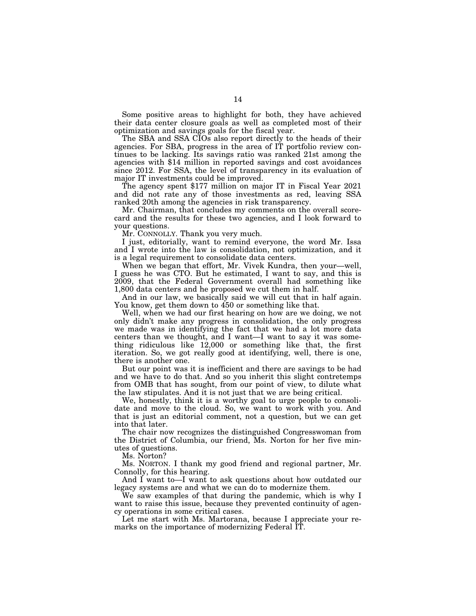Some positive areas to highlight for both, they have achieved their data center closure goals as well as completed most of their optimization and savings goals for the fiscal year.

The SBA and SSA CIOs also report directly to the heads of their agencies. For SBA, progress in the area of IT portfolio review continues to be lacking. Its savings ratio was ranked 21st among the agencies with \$14 million in reported savings and cost avoidances since 2012. For SSA, the level of transparency in its evaluation of major IT investments could be improved.

The agency spent \$177 million on major IT in Fiscal Year 2021 and did not rate any of those investments as red, leaving SSA ranked 20th among the agencies in risk transparency.

Mr. Chairman, that concludes my comments on the overall scorecard and the results for these two agencies, and I look forward to your questions.

Mr. CONNOLLY. Thank you very much.

I just, editorially, want to remind everyone, the word Mr. Issa and I wrote into the law is consolidation, not optimization, and it is a legal requirement to consolidate data centers.

When we began that effort, Mr. Vivek Kundra, then your—well, I guess he was CTO. But he estimated, I want to say, and this is 2009, that the Federal Government overall had something like 1,800 data centers and he proposed we cut them in half.

And in our law, we basically said we will cut that in half again. You know, get them down to 450 or something like that.

Well, when we had our first hearing on how are we doing, we not only didn't make any progress in consolidation, the only progress we made was in identifying the fact that we had a lot more data centers than we thought, and I want—I want to say it was something ridiculous like 12,000 or something like that, the first iteration. So, we got really good at identifying, well, there is one, there is another one.

But our point was it is inefficient and there are savings to be had and we have to do that. And so you inherit this slight contretemps from OMB that has sought, from our point of view, to dilute what the law stipulates. And it is not just that we are being critical.

We, honestly, think it is a worthy goal to urge people to consolidate and move to the cloud. So, we want to work with you. And that is just an editorial comment, not a question, but we can get into that later.

The chair now recognizes the distinguished Congresswoman from the District of Columbia, our friend, Ms. Norton for her five minutes of questions.

Ms. Norton?

Ms. NORTON. I thank my good friend and regional partner, Mr. Connolly, for this hearing.

And I want to—I want to ask questions about how outdated our legacy systems are and what we can do to modernize them.

We saw examples of that during the pandemic, which is why I want to raise this issue, because they prevented continuity of agency operations in some critical cases.

Let me start with Ms. Martorana, because I appreciate your remarks on the importance of modernizing Federal IT.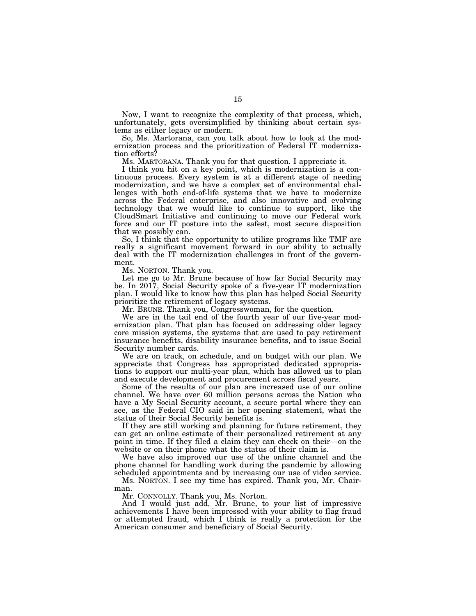Now, I want to recognize the complexity of that process, which, unfortunately, gets oversimplified by thinking about certain systems as either legacy or modern.

So, Ms. Martorana, can you talk about how to look at the modernization process and the prioritization of Federal IT modernization efforts?

Ms. MARTORANA. Thank you for that question. I appreciate it.

I think you hit on a key point, which is modernization is a continuous process. Every system is at a different stage of needing modernization, and we have a complex set of environmental challenges with both end-of-life systems that we have to modernize across the Federal enterprise, and also innovative and evolving technology that we would like to continue to support, like the CloudSmart Initiative and continuing to move our Federal work force and our IT posture into the safest, most secure disposition that we possibly can.

So, I think that the opportunity to utilize programs like TMF are really a significant movement forward in our ability to actually deal with the IT modernization challenges in front of the government.

Ms. NORTON. Thank you.

Let me go to Mr. Brune because of how far Social Security may be. In 2017, Social Security spoke of a five-year IT modernization plan. I would like to know how this plan has helped Social Security prioritize the retirement of legacy systems.

Mr. BRUNE. Thank you, Congresswoman, for the question.

We are in the tail end of the fourth year of our five-year modernization plan. That plan has focused on addressing older legacy core mission systems, the systems that are used to pay retirement insurance benefits, disability insurance benefits, and to issue Social Security number cards.

We are on track, on schedule, and on budget with our plan. We appreciate that Congress has appropriated dedicated appropriations to support our multi-year plan, which has allowed us to plan and execute development and procurement across fiscal years.

Some of the results of our plan are increased use of our online channel. We have over 60 million persons across the Nation who have a My Social Security account, a secure portal where they can see, as the Federal CIO said in her opening statement, what the status of their Social Security benefits is.

If they are still working and planning for future retirement, they can get an online estimate of their personalized retirement at any point in time. If they filed a claim they can check on their—on the website or on their phone what the status of their claim is.

We have also improved our use of the online channel and the phone channel for handling work during the pandemic by allowing scheduled appointments and by increasing our use of video service.

Ms. NORTON. I see my time has expired. Thank you, Mr. Chairman.

Mr. CONNOLLY. Thank you, Ms. Norton.

And I would just add, Mr. Brune, to your list of impressive achievements I have been impressed with your ability to flag fraud or attempted fraud, which I think is really a protection for the American consumer and beneficiary of Social Security.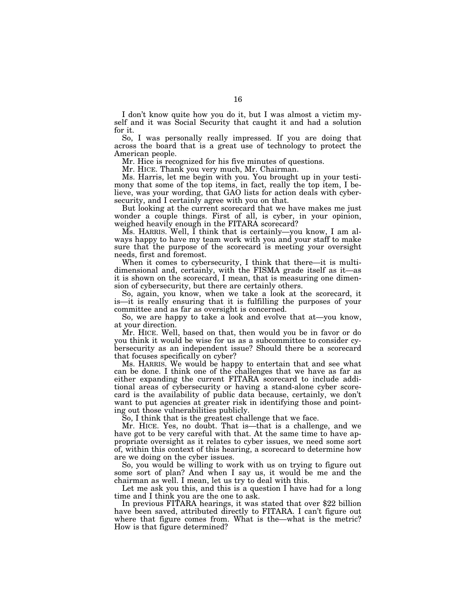I don't know quite how you do it, but I was almost a victim myself and it was Social Security that caught it and had a solution for it.

So, I was personally really impressed. If you are doing that across the board that is a great use of technology to protect the American people.

Mr. Hice is recognized for his five minutes of questions.

Mr. HICE. Thank you very much, Mr. Chairman.

Ms. Harris, let me begin with you. You brought up in your testimony that some of the top items, in fact, really the top item, I believe, was your wording, that GAO lists for action deals with cybersecurity, and I certainly agree with you on that.

But looking at the current scorecard that we have makes me just wonder a couple things. First of all, is cyber, in your opinion, weighed heavily enough in the FITARA scorecard?

Ms. HARRIS. Well, I think that is certainly—you know, I am always happy to have my team work with you and your staff to make sure that the purpose of the scorecard is meeting your oversight needs, first and foremost.

When it comes to cybersecurity, I think that there—it is multidimensional and, certainly, with the FISMA grade itself as it—as it is shown on the scorecard, I mean, that is measuring one dimension of cybersecurity, but there are certainly others.

So, again, you know, when we take a look at the scorecard, it is—it is really ensuring that it is fulfilling the purposes of your committee and as far as oversight is concerned.

So, we are happy to take a look and evolve that at—you know, at your direction.

Mr. HICE. Well, based on that, then would you be in favor or do you think it would be wise for us as a subcommittee to consider cybersecurity as an independent issue? Should there be a scorecard that focuses specifically on cyber?

Ms. HARRIS. We would be happy to entertain that and see what can be done. I think one of the challenges that we have as far as either expanding the current FITARA scorecard to include additional areas of cybersecurity or having a stand-alone cyber scorecard is the availability of public data because, certainly, we don't want to put agencies at greater risk in identifying those and pointing out those vulnerabilities publicly.

So, I think that is the greatest challenge that we face.

Mr. HICE. Yes, no doubt. That is—that is a challenge, and we have got to be very careful with that. At the same time to have appropriate oversight as it relates to cyber issues, we need some sort of, within this context of this hearing, a scorecard to determine how are we doing on the cyber issues.

So, you would be willing to work with us on trying to figure out some sort of plan? And when I say us, it would be me and the chairman as well. I mean, let us try to deal with this.

Let me ask you this, and this is a question I have had for a long

time and I think you are the one to ask. In previous FITARA hearings, it was stated that over \$22 billion have been saved, attributed directly to FITARA. I can't figure out where that figure comes from. What is the—what is the metric? How is that figure determined?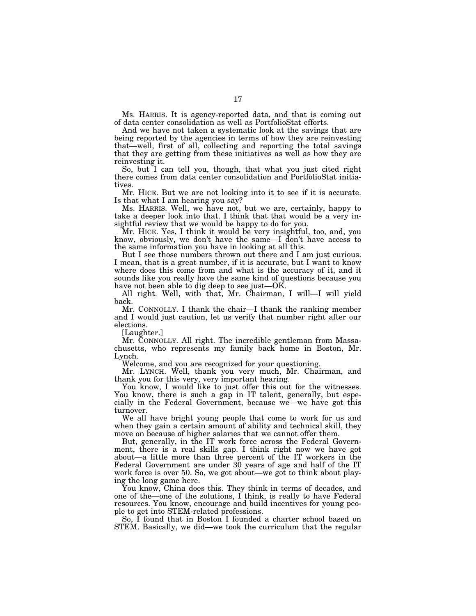Ms. HARRIS. It is agency-reported data, and that is coming out of data center consolidation as well as PortfolioStat efforts.

And we have not taken a systematic look at the savings that are being reported by the agencies in terms of how they are reinvesting that—well, first of all, collecting and reporting the total savings that they are getting from these initiatives as well as how they are reinvesting it.

So, but I can tell you, though, that what you just cited right there comes from data center consolidation and PortfolioStat initiatives.

Mr. HICE. But we are not looking into it to see if it is accurate. Is that what I am hearing you say?

Ms. HARRIS. Well, we have not, but we are, certainly, happy to take a deeper look into that. I think that that would be a very insightful review that we would be happy to do for you.

Mr. HICE. Yes, I think it would be very insightful, too, and, you know, obviously, we don't have the same—I don't have access to the same information you have in looking at all this.

But I see those numbers thrown out there and I am just curious. I mean, that is a great number, if it is accurate, but I want to know where does this come from and what is the accuracy of it, and it sounds like you really have the same kind of questions because you have not been able to dig deep to see just—OK.

All right. Well, with that, Mr. Chairman, I will—I will yield back.

Mr. CONNOLLY. I thank the chair—I thank the ranking member and I would just caution, let us verify that number right after our elections.

[Laughter.]

Mr. CONNOLLY. All right. The incredible gentleman from Massachusetts, who represents my family back home in Boston, Mr. Lynch.

Welcome, and you are recognized for your questioning.

Mr. LYNCH. Well, thank you very much, Mr. Chairman, and thank you for this very, very important hearing.

You know, I would like to just offer this out for the witnesses. You know, there is such a gap in IT talent, generally, but especially in the Federal Government, because we—we have got this turnover.

We all have bright young people that come to work for us and when they gain a certain amount of ability and technical skill, they move on because of higher salaries that we cannot offer them.

But, generally, in the IT work force across the Federal Government, there is a real skills gap. I think right now we have got about—a little more than three percent of the IT workers in the Federal Government are under 30 years of age and half of the IT work force is over 50. So, we got about—we got to think about playing the long game here.

You know, China does this. They think in terms of decades, and one of the—one of the solutions, I think, is really to have Federal resources. You know, encourage and build incentives for young people to get into STEM-related professions.

So, I found that in Boston I founded a charter school based on STEM. Basically, we did—we took the curriculum that the regular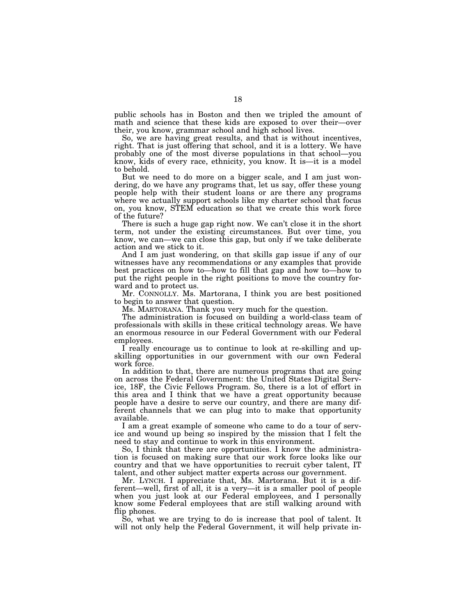public schools has in Boston and then we tripled the amount of math and science that these kids are exposed to over their—over their, you know, grammar school and high school lives.

So, we are having great results, and that is without incentives, right. That is just offering that school, and it is a lottery. We have probably one of the most diverse populations in that school—you know, kids of every race, ethnicity, you know. It is—it is a model to behold.

But we need to do more on a bigger scale, and I am just wondering, do we have any programs that, let us say, offer these young people help with their student loans or are there any programs where we actually support schools like my charter school that focus on, you know, STEM education so that we create this work force of the future?

There is such a huge gap right now. We can't close it in the short term, not under the existing circumstances. But over time, you know, we can—we can close this gap, but only if we take deliberate action and we stick to it.

And I am just wondering, on that skills gap issue if any of our witnesses have any recommendations or any examples that provide best practices on how to—how to fill that gap and how to—how to put the right people in the right positions to move the country forward and to protect us.

Mr. CONNOLLY. Ms. Martorana, I think you are best positioned to begin to answer that question.

Ms. MARTORANA. Thank you very much for the question.

The administration is focused on building a world-class team of professionals with skills in these critical technology areas. We have an enormous resource in our Federal Government with our Federal employees.

I really encourage us to continue to look at re-skilling and upskilling opportunities in our government with our own Federal work force.

In addition to that, there are numerous programs that are going on across the Federal Government: the United States Digital Service, 18F, the Civic Fellows Program. So, there is a lot of effort in this area and I think that we have a great opportunity because people have a desire to serve our country, and there are many different channels that we can plug into to make that opportunity available.

I am a great example of someone who came to do a tour of service and wound up being so inspired by the mission that I felt the need to stay and continue to work in this environment.

So, I think that there are opportunities. I know the administration is focused on making sure that our work force looks like our country and that we have opportunities to recruit cyber talent, IT talent, and other subject matter experts across our government.

Mr. LYNCH. I appreciate that, Ms. Martorana. But it is a different—well, first of all, it is a very—it is a smaller pool of people when you just look at our Federal employees, and I personally know some Federal employees that are still walking around with flip phones.

So, what we are trying to do is increase that pool of talent. It will not only help the Federal Government, it will help private in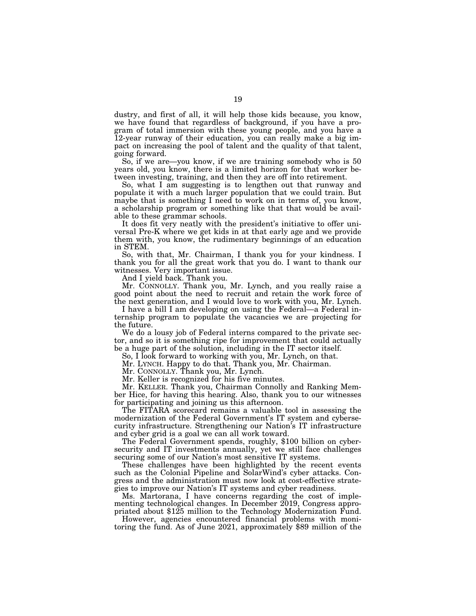dustry, and first of all, it will help those kids because, you know, we have found that regardless of background, if you have a program of total immersion with these young people, and you have a 12-year runway of their education, you can really make a big impact on increasing the pool of talent and the quality of that talent, going forward.

So, if we are—you know, if we are training somebody who is 50 years old, you know, there is a limited horizon for that worker between investing, training, and then they are off into retirement.

So, what I am suggesting is to lengthen out that runway and populate it with a much larger population that we could train. But maybe that is something I need to work on in terms of, you know, a scholarship program or something like that that would be available to these grammar schools.

It does fit very neatly with the president's initiative to offer universal Pre-K where we get kids in at that early age and we provide them with, you know, the rudimentary beginnings of an education in STEM.

So, with that, Mr. Chairman, I thank you for your kindness. I thank you for all the great work that you do. I want to thank our witnesses. Very important issue.

And I yield back. Thank you.

Mr. CONNOLLY. Thank you, Mr. Lynch, and you really raise a good point about the need to recruit and retain the work force of the next generation, and I would love to work with you, Mr. Lynch.

I have a bill I am developing on using the Federal—a Federal internship program to populate the vacancies we are projecting for the future.

We do a lousy job of Federal interns compared to the private sector, and so it is something ripe for improvement that could actually be a huge part of the solution, including in the IT sector itself.

So, I look forward to working with you, Mr. Lynch, on that.

Mr. LYNCH. Happy to do that. Thank you, Mr. Chairman.

Mr. CONNOLLY. Thank you, Mr. Lynch.

Mr. Keller is recognized for his five minutes.

Mr. KELLER. Thank you, Chairman Connolly and Ranking Member Hice, for having this hearing. Also, thank you to our witnesses for participating and joining us this afternoon.

The FITARA scorecard remains a valuable tool in assessing the modernization of the Federal Government's IT system and cybersecurity infrastructure. Strengthening our Nation's IT infrastructure

The Federal Government spends, roughly, \$100 billion on cybersecurity and IT investments annually, yet we still face challenges securing some of our Nation's most sensitive IT systems.

These challenges have been highlighted by the recent events such as the Colonial Pipeline and SolarWind's cyber attacks. Congress and the administration must now look at cost-effective strategies to improve our Nation's IT systems and cyber readiness.

Ms. Martorana, I have concerns regarding the cost of implementing technological changes. In December 2019, Congress appropriated about \$125 million to the Technology Modernization Fund.

However, agencies encountered financial problems with monitoring the fund. As of June 2021, approximately \$89 million of the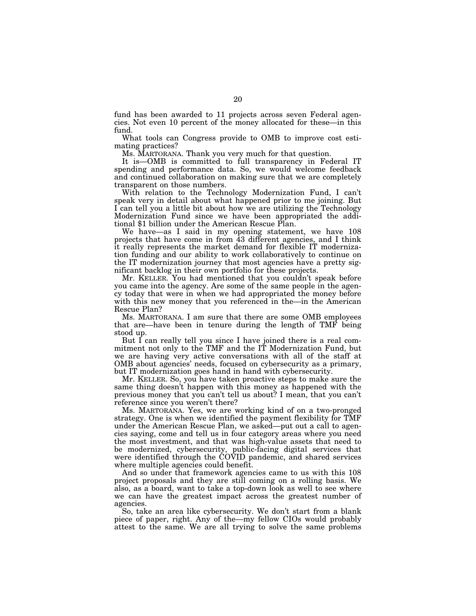fund has been awarded to 11 projects across seven Federal agencies. Not even 10 percent of the money allocated for these—in this fund.

What tools can Congress provide to OMB to improve cost estimating practices?

Ms. MARTORANA. Thank you very much for that question.

It is—OMB is committed to full transparency in Federal IT spending and performance data. So, we would welcome feedback and continued collaboration on making sure that we are completely transparent on those numbers.

With relation to the Technology Modernization Fund, I can't speak very in detail about what happened prior to me joining. But I can tell you a little bit about how we are utilizing the Technology Modernization Fund since we have been appropriated the additional \$1 billion under the American Rescue Plan.

We have—as I said in my opening statement, we have 108 projects that have come in from 43 different agencies, and I think it really represents the market demand for flexible IT modernization funding and our ability to work collaboratively to continue on the IT modernization journey that most agencies have a pretty significant backlog in their own portfolio for these projects.

Mr. KELLER. You had mentioned that you couldn't speak before you came into the agency. Are some of the same people in the agency today that were in when we had appropriated the money before with this new money that you referenced in the—in the American Rescue Plan?

Ms. MARTORANA. I am sure that there are some OMB employees that are—have been in tenure during the length of TMF being stood up.

But I can really tell you since I have joined there is a real commitment not only to the TMF and the IT Modernization Fund, but we are having very active conversations with all of the staff at OMB about agencies' needs, focused on cybersecurity as a primary, but IT modernization goes hand in hand with cybersecurity.

Mr. KELLER. So, you have taken proactive steps to make sure the same thing doesn't happen with this money as happened with the previous money that you can't tell us about? I mean, that you can't reference since you weren't there?

Ms. MARTORANA. Yes, we are working kind of on a two-pronged strategy. One is when we identified the payment flexibility for TMF under the American Rescue Plan, we asked—put out a call to agencies saying, come and tell us in four category areas where you need the most investment, and that was high-value assets that need to be modernized, cybersecurity, public-facing digital services that were identified through the COVID pandemic, and shared services where multiple agencies could benefit.

And so under that framework agencies came to us with this 108 project proposals and they are still coming on a rolling basis. We also, as a board, want to take a top-down look as well to see where we can have the greatest impact across the greatest number of agencies.

So, take an area like cybersecurity. We don't start from a blank piece of paper, right. Any of the—my fellow CIOs would probably attest to the same. We are all trying to solve the same problems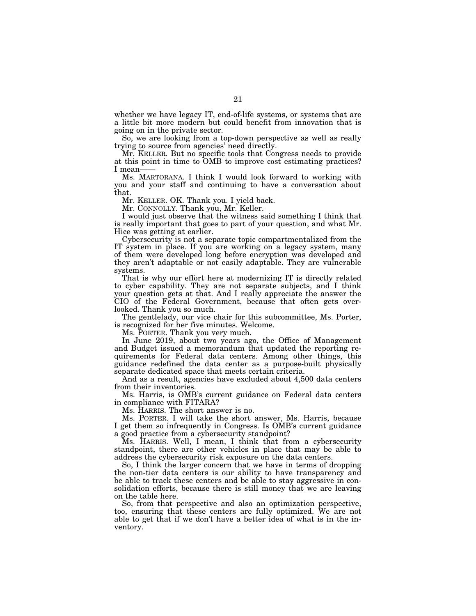whether we have legacy IT, end-of-life systems, or systems that are a little bit more modern but could benefit from innovation that is going on in the private sector.

So, we are looking from a top-down perspective as well as really trying to source from agencies' need directly.

Mr. KELLER. But no specific tools that Congress needs to provide at this point in time to OMB to improve cost estimating practices? I mean-

Ms. MARTORANA. I think I would look forward to working with you and your staff and continuing to have a conversation about that.

Mr. KELLER. OK. Thank you. I yield back.

Mr. CONNOLLY. Thank you, Mr. Keller.

I would just observe that the witness said something I think that is really important that goes to part of your question, and what Mr. Hice was getting at earlier.

Cybersecurity is not a separate topic compartmentalized from the IT system in place. If you are working on a legacy system, many of them were developed long before encryption was developed and they aren't adaptable or not easily adaptable. They are vulnerable systems.

That is why our effort here at modernizing IT is directly related to cyber capability. They are not separate subjects, and I think your question gets at that. And I really appreciate the answer the CIO of the Federal Government, because that often gets overlooked. Thank you so much.

The gentlelady, our vice chair for this subcommittee, Ms. Porter, is recognized for her five minutes. Welcome.

Ms. PORTER. Thank you very much.

In June 2019, about two years ago, the Office of Management and Budget issued a memorandum that updated the reporting requirements for Federal data centers. Among other things, this guidance redefined the data center as a purpose-built physically separate dedicated space that meets certain criteria.

And as a result, agencies have excluded about 4,500 data centers from their inventories.

Ms. Harris, is OMB's current guidance on Federal data centers in compliance with FITARA?

Ms. HARRIS. The short answer is no.

Ms. PORTER. I will take the short answer, Ms. Harris, because I get them so infrequently in Congress. Is OMB's current guidance a good practice from a cybersecurity standpoint?

Ms. HARRIS. Well, I mean, I think that from a cybersecurity standpoint, there are other vehicles in place that may be able to address the cybersecurity risk exposure on the data centers.

So, I think the larger concern that we have in terms of dropping the non-tier data centers is our ability to have transparency and be able to track these centers and be able to stay aggressive in consolidation efforts, because there is still money that we are leaving on the table here.

So, from that perspective and also an optimization perspective, too, ensuring that these centers are fully optimized. We are not able to get that if we don't have a better idea of what is in the inventory.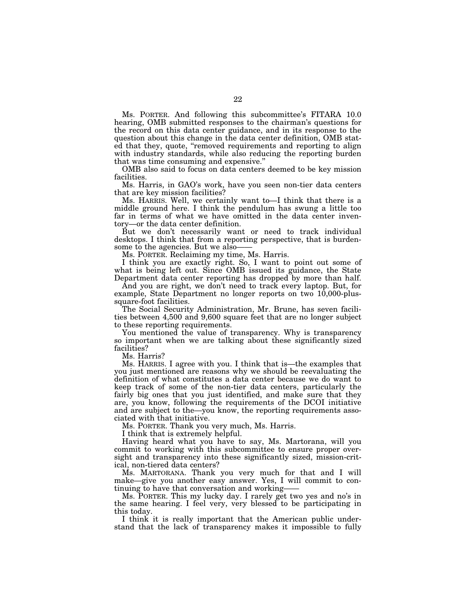Ms. PORTER. And following this subcommittee's FITARA 10.0 hearing, OMB submitted responses to the chairman's questions for the record on this data center guidance, and in its response to the question about this change in the data center definition, OMB stated that they, quote, "removed requirements and reporting to align with industry standards, while also reducing the reporting burden that was time consuming and expensive.''

OMB also said to focus on data centers deemed to be key mission facilities.

Ms. Harris, in GAO's work, have you seen non-tier data centers that are key mission facilities?

Ms. HARRIS. Well, we certainly want to—I think that there is a middle ground here. I think the pendulum has swung a little too far in terms of what we have omitted in the data center inventory—or the data center definition.

But we don't necessarily want or need to track individual desktops. I think that from a reporting perspective, that is burdensome to the agencies. But we also-

Ms. PORTER. Reclaiming my time, Ms. Harris.

I think you are exactly right. So, I want to point out some of what is being left out. Since OMB issued its guidance, the State Department data center reporting has dropped by more than half.

And you are right, we don't need to track every laptop. But, for example, State Department no longer reports on two 10,000-plussquare-foot facilities.

The Social Security Administration, Mr. Brune, has seven facilities between 4,500 and 9,600 square feet that are no longer subject to these reporting requirements.

You mentioned the value of transparency. Why is transparency so important when we are talking about these significantly sized facilities?

Ms. Harris?

Ms. HARRIS. I agree with you. I think that is—the examples that you just mentioned are reasons why we should be reevaluating the definition of what constitutes a data center because we do want to keep track of some of the non-tier data centers, particularly the fairly big ones that you just identified, and make sure that they are, you know, following the requirements of the DCOI initiative and are subject to the—you know, the reporting requirements associated with that initiative.

Ms. PORTER. Thank you very much, Ms. Harris.

I think that is extremely helpful.

Having heard what you have to say, Ms. Martorana, will you commit to working with this subcommittee to ensure proper oversight and transparency into these significantly sized, mission-critical, non-tiered data centers?

Ms. MARTORANA. Thank you very much for that and I will make—give you another easy answer. Yes, I will commit to continuing to have that conversation and working——

Ms. PORTER. This my lucky day. I rarely get two yes and no's in the same hearing. I feel very, very blessed to be participating in this today.

I think it is really important that the American public understand that the lack of transparency makes it impossible to fully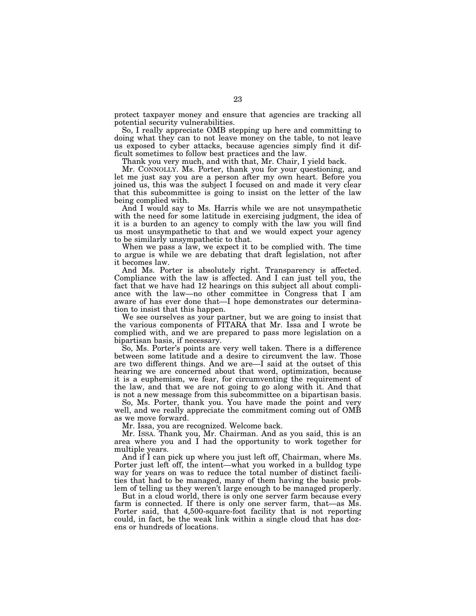protect taxpayer money and ensure that agencies are tracking all potential security vulnerabilities.

So, I really appreciate OMB stepping up here and committing to doing what they can to not leave money on the table, to not leave us exposed to cyber attacks, because agencies simply find it difficult sometimes to follow best practices and the law.

Thank you very much, and with that, Mr. Chair, I yield back.

Mr. CONNOLLY. Ms. Porter, thank you for your questioning, and let me just say you are a person after my own heart. Before you joined us, this was the subject I focused on and made it very clear that this subcommittee is going to insist on the letter of the law being complied with.

And I would say to Ms. Harris while we are not unsympathetic with the need for some latitude in exercising judgment, the idea of it is a burden to an agency to comply with the law you will find us most unsympathetic to that and we would expect your agency to be similarly unsympathetic to that.

When we pass a law, we expect it to be complied with. The time to argue is while we are debating that draft legislation, not after it becomes law.

And Ms. Porter is absolutely right. Transparency is affected. Compliance with the law is affected. And I can just tell you, the fact that we have had 12 hearings on this subject all about compliance with the law—no other committee in Congress that I am aware of has ever done that—I hope demonstrates our determination to insist that this happen.

We see ourselves as your partner, but we are going to insist that the various components of FITARA that Mr. Issa and I wrote be complied with, and we are prepared to pass more legislation on a bipartisan basis, if necessary.

So, Ms. Porter's points are very well taken. There is a difference between some latitude and a desire to circumvent the law. Those are two different things. And we are—I said at the outset of this hearing we are concerned about that word, optimization, because it is a euphemism, we fear, for circumventing the requirement of the law, and that we are not going to go along with it. And that is not a new message from this subcommittee on a bipartisan basis.

So, Ms. Porter, thank you. You have made the point and very well, and we really appreciate the commitment coming out of OMB as we move forward.

Mr. Issa, you are recognized. Welcome back.

Mr. ISSA. Thank you, Mr. Chairman. And as you said, this is an area where you and I had the opportunity to work together for multiple years.

And if I can pick up where you just left off, Chairman, where Ms. Porter just left off, the intent—what you worked in a bulldog type way for years on was to reduce the total number of distinct facilities that had to be managed, many of them having the basic problem of telling us they weren't large enough to be managed properly.

But in a cloud world, there is only one server farm because every farm is connected. If there is only one server farm, that—as Ms. Porter said, that 4,500-square-foot facility that is not reporting could, in fact, be the weak link within a single cloud that has dozens or hundreds of locations.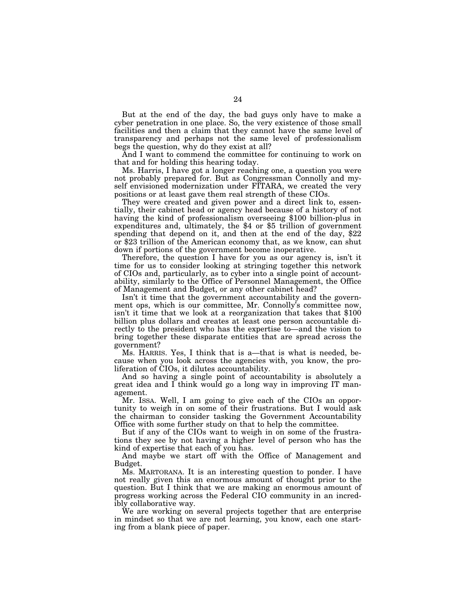But at the end of the day, the bad guys only have to make a cyber penetration in one place. So, the very existence of those small facilities and then a claim that they cannot have the same level of transparency and perhaps not the same level of professionalism begs the question, why do they exist at all?

And I want to commend the committee for continuing to work on that and for holding this hearing today.

Ms. Harris, I have got a longer reaching one, a question you were not probably prepared for. But as Congressman Connolly and myself envisioned modernization under FITARA, we created the very positions or at least gave them real strength of these CIOs.

They were created and given power and a direct link to, essentially, their cabinet head or agency head because of a history of not having the kind of professionalism overseeing \$100 billion-plus in expenditures and, ultimately, the \$4 or \$5 trillion of government spending that depend on it, and then at the end of the day, \$22 or \$23 trillion of the American economy that, as we know, can shut down if portions of the government become inoperative.

Therefore, the question I have for you as our agency is, isn't it time for us to consider looking at stringing together this network of CIOs and, particularly, as to cyber into a single point of accountability, similarly to the Office of Personnel Management, the Office of Management and Budget, or any other cabinet head?

Isn't it time that the government accountability and the government ops, which is our committee, Mr. Connolly's committee now, isn't it time that we look at a reorganization that takes that \$100 billion plus dollars and creates at least one person accountable directly to the president who has the expertise to—and the vision to bring together these disparate entities that are spread across the government?

Ms. HARRIS. Yes, I think that is a—that is what is needed, because when you look across the agencies with, you know, the proliferation of CIOs, it dilutes accountability.

And so having a single point of accountability is absolutely a great idea and I think would go a long way in improving IT management.

Mr. ISSA. Well, I am going to give each of the CIOs an opportunity to weigh in on some of their frustrations. But I would ask the chairman to consider tasking the Government Accountability Office with some further study on that to help the committee.

But if any of the CIOs want to weigh in on some of the frustrations they see by not having a higher level of person who has the kind of expertise that each of you has.

And maybe we start off with the Office of Management and Budget.

Ms. MARTORANA. It is an interesting question to ponder. I have not really given this an enormous amount of thought prior to the question. But I think that we are making an enormous amount of progress working across the Federal CIO community in an incredibly collaborative way.

We are working on several projects together that are enterprise in mindset so that we are not learning, you know, each one starting from a blank piece of paper.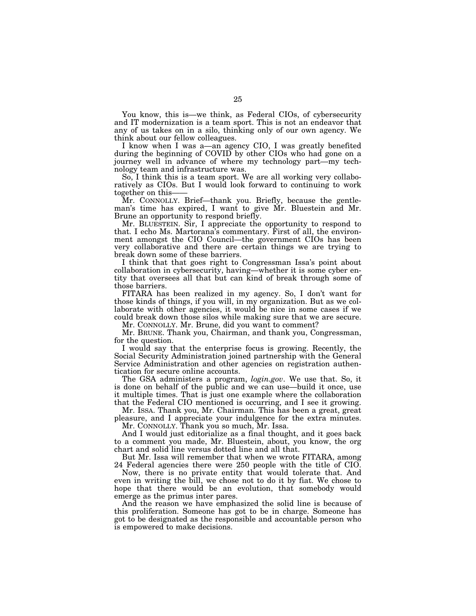You know, this is—we think, as Federal CIOs, of cybersecurity and IT modernization is a team sport. This is not an endeavor that any of us takes on in a silo, thinking only of our own agency. We think about our fellow colleagues.

I know when I was a—an agency CIO, I was greatly benefited during the beginning of COVID by other CIOs who had gone on a journey well in advance of where my technology part—my technology team and infrastructure was.

So, I think this is a team sport. We are all working very collaboratively as CIOs. But I would look forward to continuing to work together on this-

Mr. CONNOLLY. Brief—thank you. Briefly, because the gentleman's time has expired, I want to give Mr. Bluestein and Mr. Brune an opportunity to respond briefly.

Mr. BLUESTEIN. Sir, I appreciate the opportunity to respond to that. I echo Ms. Martorana's commentary. First of all, the environment amongst the CIO Council—the government CIOs has been very collaborative and there are certain things we are trying to break down some of these barriers.

I think that that goes right to Congressman Issa's point about collaboration in cybersecurity, having—whether it is some cyber entity that oversees all that but can kind of break through some of those barriers.

FITARA has been realized in my agency. So, I don't want for those kinds of things, if you will, in my organization. But as we collaborate with other agencies, it would be nice in some cases if we could break down those silos while making sure that we are secure.

Mr. CONNOLLY. Mr. Brune, did you want to comment?

Mr. BRUNE. Thank you, Chairman, and thank you, Congressman, for the question.

I would say that the enterprise focus is growing. Recently, the Social Security Administration joined partnership with the General Service Administration and other agencies on registration authentication for secure online accounts.

The GSA administers a program, *login.gov*. We use that. So, it is done on behalf of the public and we can use—build it once, use it multiple times. That is just one example where the collaboration that the Federal CIO mentioned is occurring, and I see it growing.

Mr. ISSA. Thank you, Mr. Chairman. This has been a great, great pleasure, and I appreciate your indulgence for the extra minutes.

Mr. CONNOLLY. Thank you so much, Mr. Issa.

And I would just editorialize as a final thought, and it goes back to a comment you made, Mr. Bluestein, about, you know, the org chart and solid line versus dotted line and all that.

But Mr. Issa will remember that when we wrote FITARA, among 24 Federal agencies there were 250 people with the title of CIO.

Now, there is no private entity that would tolerate that. And even in writing the bill, we chose not to do it by fiat. We chose to hope that there would be an evolution, that somebody would emerge as the primus inter pares.

And the reason we have emphasized the solid line is because of this proliferation. Someone has got to be in charge. Someone has got to be designated as the responsible and accountable person who is empowered to make decisions.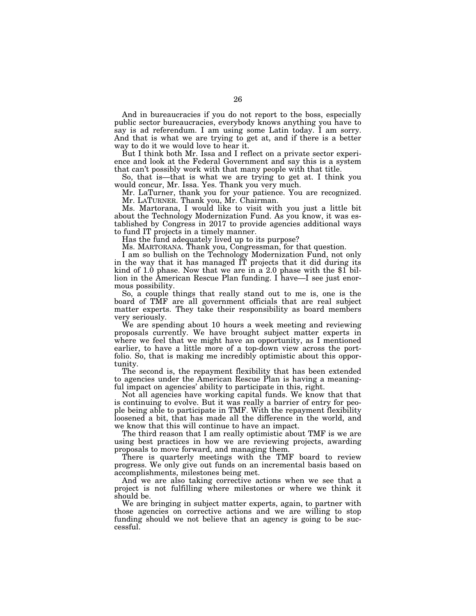And in bureaucracies if you do not report to the boss, especially public sector bureaucracies, everybody knows anything you have to say is ad referendum. I am using some Latin today. I am sorry. And that is what we are trying to get at, and if there is a better way to do it we would love to hear it.

But I think both Mr. Issa and I reflect on a private sector experience and look at the Federal Government and say this is a system that can't possibly work with that many people with that title.

So, that is—that is what we are trying to get at. I think you would concur, Mr. Issa. Yes. Thank you very much.

Mr. LaTurner, thank you for your patience. You are recognized. Mr. LATURNER. Thank you, Mr. Chairman.

Ms. Martorana, I would like to visit with you just a little bit about the Technology Modernization Fund. As you know, it was established by Congress in 2017 to provide agencies additional ways to fund IT projects in a timely manner.

Has the fund adequately lived up to its purpose?

Ms. MARTORANA. Thank you, Congressman, for that question.

I am so bullish on the Technology Modernization Fund, not only in the way that it has managed IT projects that it did during its kind of 1.0 phase. Now that we are in a 2.0 phase with the \$1 billion in the American Rescue Plan funding. I have—I see just enormous possibility.

So, a couple things that really stand out to me is, one is the board of TMF are all government officials that are real subject matter experts. They take their responsibility as board members very seriously.

We are spending about 10 hours a week meeting and reviewing proposals currently. We have brought subject matter experts in where we feel that we might have an opportunity, as I mentioned earlier, to have a little more of a top-down view across the portfolio. So, that is making me incredibly optimistic about this opportunity.

The second is, the repayment flexibility that has been extended to agencies under the American Rescue Plan is having a meaningful impact on agencies' ability to participate in this, right.

Not all agencies have working capital funds. We know that that is continuing to evolve. But it was really a barrier of entry for people being able to participate in TMF. With the repayment flexibility loosened a bit, that has made all the difference in the world, and we know that this will continue to have an impact.

The third reason that I am really optimistic about TMF is we are using best practices in how we are reviewing projects, awarding proposals to move forward, and managing them.

There is quarterly meetings with the TMF board to review progress. We only give out funds on an incremental basis based on accomplishments, milestones being met.

And we are also taking corrective actions when we see that a project is not fulfilling where milestones or where we think it should be.

We are bringing in subject matter experts, again, to partner with those agencies on corrective actions and we are willing to stop funding should we not believe that an agency is going to be successful.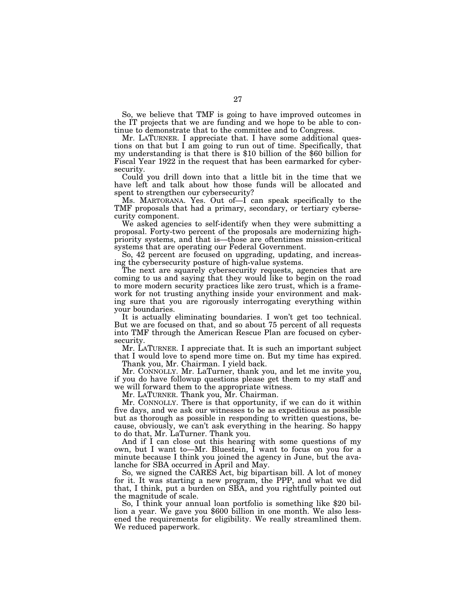So, we believe that TMF is going to have improved outcomes in the IT projects that we are funding and we hope to be able to continue to demonstrate that to the committee and to Congress.

Mr. LATURNER. I appreciate that. I have some additional questions on that but I am going to run out of time. Specifically, that my understanding is that there is \$10 billion of the \$60 billion for Fiscal Year 1922 in the request that has been earmarked for cybersecurity.

Could you drill down into that a little bit in the time that we have left and talk about how those funds will be allocated and spent to strengthen our cybersecurity?

Ms. MARTORANA. Yes. Out of—I can speak specifically to the TMF proposals that had a primary, secondary, or tertiary cybersecurity component.

We asked agencies to self-identify when they were submitting a proposal. Forty-two percent of the proposals are modernizing highpriority systems, and that is—those are oftentimes mission-critical systems that are operating our Federal Government.

So, 42 percent are focused on upgrading, updating, and increasing the cybersecurity posture of high-value systems.

The next are squarely cybersecurity requests, agencies that are coming to us and saying that they would like to begin on the road to more modern security practices like zero trust, which is a framework for not trusting anything inside your environment and making sure that you are rigorously interrogating everything within your boundaries.

It is actually eliminating boundaries. I won't get too technical. But we are focused on that, and so about 75 percent of all requests into TMF through the American Rescue Plan are focused on cybersecurity.

Mr. LATURNER. I appreciate that. It is such an important subject that I would love to spend more time on. But my time has expired. Thank you, Mr. Chairman. I yield back.

Mr. CONNOLLY. Mr. LaTurner, thank you, and let me invite you, if you do have followup questions please get them to my staff and we will forward them to the appropriate witness.

Mr. LATURNER. Thank you, Mr. Chairman.

Mr. CONNOLLY. There is that opportunity, if we can do it within five days, and we ask our witnesses to be as expeditious as possible but as thorough as possible in responding to written questions, because, obviously, we can't ask everything in the hearing. So happy to do that, Mr. LaTurner. Thank you.

And if I can close out this hearing with some questions of my own, but I want to—Mr. Bluestein, I want to focus on you for a minute because I think you joined the agency in June, but the avalanche for SBA occurred in April and May.

So, we signed the CARES Act, big bipartisan bill. A lot of money for it. It was starting a new program, the PPP, and what we did that, I think, put a burden on SBA, and you rightfully pointed out the magnitude of scale.

So, I think your annual loan portfolio is something like \$20 billion a year. We gave you \$600 billion in one month. We also lessened the requirements for eligibility. We really streamlined them. We reduced paperwork.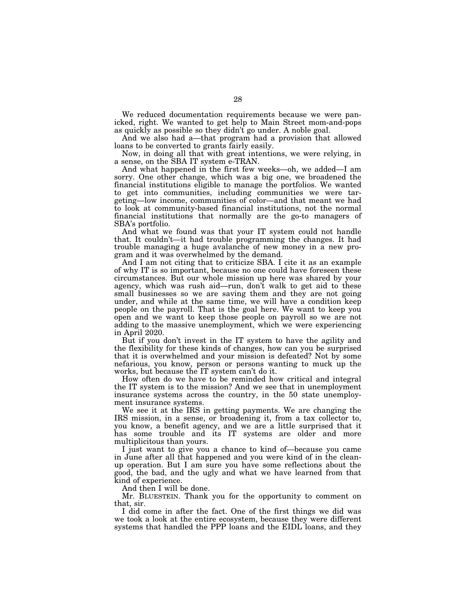We reduced documentation requirements because we were panicked, right. We wanted to get help to Main Street mom-and-pops as quickly as possible so they didn't go under. A noble goal.

And we also had a—that program had a provision that allowed loans to be converted to grants fairly easily.

Now, in doing all that with great intentions, we were relying, in a sense, on the SBA IT system e-TRAN.

And what happened in the first few weeks—oh, we added—I am sorry. One other change, which was a big one, we broadened the financial institutions eligible to manage the portfolios. We wanted to get into communities, including communities we were targeting—low income, communities of color—and that meant we had to look at community-based financial institutions, not the normal financial institutions that normally are the go-to managers of SBA's portfolio.

And what we found was that your IT system could not handle that. It couldn't—it had trouble programming the changes. It had trouble managing a huge avalanche of new money in a new program and it was overwhelmed by the demand.

And I am not citing that to criticize SBA. I cite it as an example of why IT is so important, because no one could have foreseen these circumstances. But our whole mission up here was shared by your agency, which was rush aid—run, don't walk to get aid to these small businesses so we are saving them and they are not going under, and while at the same time, we will have a condition keep people on the payroll. That is the goal here. We want to keep you open and we want to keep those people on payroll so we are not adding to the massive unemployment, which we were experiencing in April 2020.

But if you don't invest in the IT system to have the agility and the flexibility for these kinds of changes, how can you be surprised that it is overwhelmed and your mission is defeated? Not by some nefarious, you know, person or persons wanting to muck up the works, but because the IT system can't do it.

How often do we have to be reminded how critical and integral the IT system is to the mission? And we see that in unemployment insurance systems across the country, in the 50 state unemployment insurance systems.

We see it at the IRS in getting payments. We are changing the IRS mission, in a sense, or broadening it, from a tax collector to, you know, a benefit agency, and we are a little surprised that it has some trouble and its IT systems are older and more multiplicitous than yours.

I just want to give you a chance to kind of—because you came in June after all that happened and you were kind of in the cleanup operation. But I am sure you have some reflections about the good, the bad, and the ugly and what we have learned from that kind of experience.

And then I will be done.

Mr. BLUESTEIN. Thank you for the opportunity to comment on that, sir.

I did come in after the fact. One of the first things we did was we took a look at the entire ecosystem, because they were different systems that handled the PPP loans and the EIDL loans, and they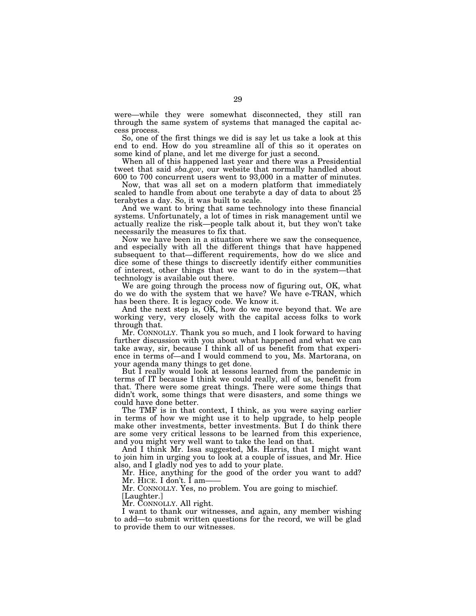were—while they were somewhat disconnected, they still ran through the same system of systems that managed the capital access process.

So, one of the first things we did is say let us take a look at this end to end. How do you streamline all of this so it operates on some kind of plane, and let me diverge for just a second.

When all of this happened last year and there was a Presidential tweet that said *sba.gov*, our website that normally handled about 600 to 700 concurrent users went to 93,000 in a matter of minutes.

Now, that was all set on a modern platform that immediately scaled to handle from about one terabyte a day of data to about 25 terabytes a day. So, it was built to scale.

And we want to bring that same technology into these financial systems. Unfortunately, a lot of times in risk management until we actually realize the risk—people talk about it, but they won't take necessarily the measures to fix that.

Now we have been in a situation where we saw the consequence, and especially with all the different things that have happened subsequent to that—different requirements, how do we slice and dice some of these things to discreetly identify either communities of interest, other things that we want to do in the system—that technology is available out there.

We are going through the process now of figuring out, OK, what do we do with the system that we have? We have e-TRAN, which has been there. It is legacy code. We know it.

And the next step is, OK, how do we move beyond that. We are working very, very closely with the capital access folks to work through that.

Mr. CONNOLLY. Thank you so much, and I look forward to having further discussion with you about what happened and what we can take away, sir, because I think all of us benefit from that experience in terms of—and I would commend to you, Ms. Martorana, on your agenda many things to get done.

But I really would look at lessons learned from the pandemic in terms of IT because I think we could really, all of us, benefit from that. There were some great things. There were some things that didn't work, some things that were disasters, and some things we could have done better.

The TMF is in that context, I think, as you were saying earlier in terms of how we might use it to help upgrade, to help people make other investments, better investments. But I do think there are some very critical lessons to be learned from this experience, and you might very well want to take the lead on that.

And I think Mr. Issa suggested, Ms. Harris, that I might want to join him in urging you to look at a couple of issues, and Mr. Hice also, and I gladly nod yes to add to your plate.

Mr. Hice, anything for the good of the order you want to add? Mr. HICE. I don't. I am-

Mr. CONNOLLY. Yes, no problem. You are going to mischief.

[Laughter.]

Mr. CONNOLLY. All right.

I want to thank our witnesses, and again, any member wishing to add—to submit written questions for the record, we will be glad to provide them to our witnesses.